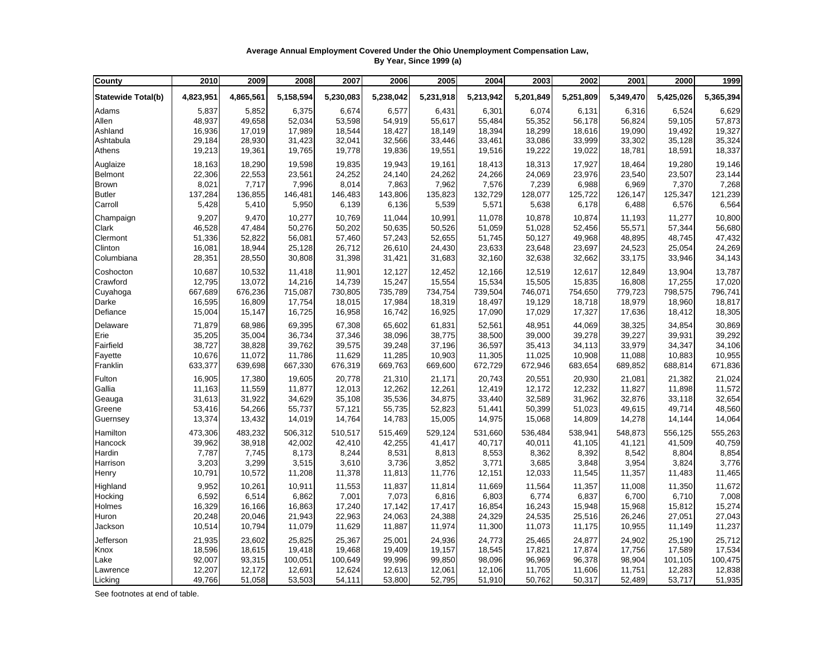## **Average Annual Employment Covered Under the Ohio Unemployment Compensation Law, By Year, Since 1999 (a)**

| County                    | 2010      | 2009      | 2008      | 2007      | 2006      | 2005      | 2004      | 2003      | 2002      | 2001      | 2000      | 1999      |
|---------------------------|-----------|-----------|-----------|-----------|-----------|-----------|-----------|-----------|-----------|-----------|-----------|-----------|
| <b>Statewide Total(b)</b> | 4,823,951 | 4,865,561 | 5,158,594 | 5,230,083 | 5,238,042 | 5,231,918 | 5,213,942 | 5,201,849 | 5,251,809 | 5,349,470 | 5,425,026 | 5,365,394 |
| Adams                     | 5,837     | 5,852     | 6,375     | 6,674     | 6,577     | 6,431     | 6,301     | 6,074     | 6,131     | 6,316     | 6,524     | 6,629     |
| Allen                     | 48,937    | 49,658    | 52,034    | 53,598    | 54,919    | 55,617    | 55,484    | 55,352    | 56,178    | 56,824    | 59.105    | 57,873    |
| Ashland                   | 16,936    | 17,019    | 17,989    | 18,544    | 18,427    | 18,149    | 18,394    | 18,299    | 18,616    | 19,090    | 19,492    | 19,327    |
| Ashtabula                 | 29,184    | 28,930    | 31,423    | 32,041    | 32,566    | 33,446    | 33,461    | 33,086    | 33,999    | 33,302    | 35,128    | 35,324    |
| Athens                    | 19,213    | 19,361    | 19,765    | 19,778    | 19,836    | 19,551    | 19,516    | 19,222    | 19,022    | 18,781    | 18,591    | 18,337    |
| Auglaize                  | 18,163    | 18,290    | 19,598    | 19,835    | 19,943    | 19,161    | 18,413    | 18,313    | 17,927    | 18,464    | 19,280    | 19,146    |
| <b>Belmont</b>            | 22,306    | 22,553    | 23,561    | 24,252    | 24,140    | 24,262    | 24,266    | 24,069    | 23,976    | 23,540    | 23,507    | 23,144    |
| <b>Brown</b>              | 8,021     | 7,717     | 7,996     | 8,014     | 7,863     | 7,962     | 7,576     | 7,239     | 6,988     | 6,969     | 7,370     | 7,268     |
| <b>Butler</b>             | 137,284   | 136,855   | 146,481   | 146,483   | 143,806   | 135,823   | 132,729   | 128,077   | 125,722   | 126,147   | 125,347   | 121,239   |
| Carroll                   | 5,428     | 5,410     | 5,950     | 6,139     | 6,136     | 5,539     | 5,571     | 5,638     | 6,178     | 6,488     | 6,576     | 6,564     |
| Champaign                 | 9,207     | 9,470     | 10,277    | 10,769    | 11,044    | 10,991    | 11,078    | 10,878    | 10,874    | 11,193    | 11,277    | 10,800    |
| Clark                     | 46,528    | 47,484    | 50,276    | 50,202    | 50,635    | 50,526    | 51,059    | 51,028    | 52,456    | 55,571    | 57,344    | 56,680    |
| Clermont                  | 51,336    | 52,822    | 56,081    | 57,460    | 57,243    | 52,655    | 51,745    | 50,127    | 49,968    | 48,895    | 48,745    | 47,432    |
| Clinton                   | 16,081    | 18,944    | 25,128    | 26,712    | 26,610    | 24,430    | 23,633    | 23,648    | 23,697    | 24,523    | 25,054    | 24,269    |
| Columbiana                | 28,351    | 28,550    | 30,808    | 31,398    | 31,421    | 31,683    | 32,160    | 32,638    | 32,662    | 33,175    | 33,946    | 34,143    |
| Coshocton                 | 10,687    | 10,532    | 11,418    | 11,901    | 12,127    | 12,452    | 12,166    | 12,519    | 12,617    | 12,849    | 13,904    | 13,787    |
| Crawford                  | 12,795    | 13,072    | 14,216    | 14,739    | 15,247    | 15,554    | 15,534    | 15,505    | 15,835    | 16,808    | 17,255    | 17,020    |
| Cuyahoga                  | 667,689   | 676,236   | 715,087   | 730,805   | 735,789   | 734,754   | 739,504   | 746,071   | 754,650   | 779,723   | 798,575   | 796,741   |
| Darke                     | 16,595    | 16,809    | 17,754    | 18,015    | 17,984    | 18,319    | 18,497    | 19,129    | 18,718    | 18,979    | 18,960    | 18,817    |
| Defiance                  | 15,004    | 15,147    | 16,725    | 16,958    | 16,742    | 16,925    | 17,090    | 17,029    | 17,327    | 17,636    | 18,412    | 18,305    |
| Delaware                  | 71,879    | 68,986    | 69,395    | 67,308    | 65,602    | 61,831    | 52,561    | 48,951    | 44,069    | 38,325    | 34,854    | 30,869    |
| Erie                      | 35,205    | 35,004    | 36,734    | 37,346    | 38,096    | 38,775    | 38,500    | 39,000    | 39,278    | 39,227    | 39,931    | 39,292    |
| Fairfield                 | 38,727    | 38,828    | 39,762    | 39,575    | 39,248    | 37,196    | 36,597    | 35,413    | 34,113    | 33,979    | 34,347    | 34,106    |
| Fayette                   | 10,676    | 11,072    | 11,786    | 11,629    | 11,285    | 10,903    | 11,305    | 11,025    | 10,908    | 11,088    | 10,883    | 10,955    |
| Franklin                  | 633,377   | 639,698   | 667,330   | 676,319   | 669,763   | 669,600   | 672,729   | 672,946   | 683,654   | 689,852   | 688,814   | 671,836   |
| Fulton                    | 16,905    | 17,380    | 19,605    | 20,778    | 21,310    | 21,171    | 20,743    | 20,551    | 20,930    | 21,081    | 21,382    | 21,024    |
| Gallia                    | 11,163    | 11,559    | 11,877    | 12,013    | 12,262    | 12,261    | 12,419    | 12,172    | 12,232    | 11,827    | 11,898    | 11,572    |
| Geauga                    | 31,613    | 31,922    | 34,629    | 35,108    | 35,536    | 34,875    | 33,440    | 32,589    | 31,962    | 32,876    | 33,118    | 32,654    |
| Greene                    | 53,416    | 54,266    | 55,737    | 57,121    | 55,735    | 52,823    | 51,441    | 50,399    | 51,023    | 49,615    | 49,714    | 48,560    |
| Guernsey                  | 13,374    | 13,432    | 14,019    | 14,764    | 14,783    | 15,005    | 14,975    | 15,068    | 14,809    | 14,278    | 14,144    | 14,064    |
| Hamilton                  | 473,306   | 483,232   | 506,312   | 510,517   | 515,469   | 529,124   | 531,660   | 536,484   | 538,941   | 548,873   | 556,125   | 555,263   |
| Hancock                   | 39,962    | 38,918    | 42,002    | 42,410    | 42,255    | 41,417    | 40,717    | 40,011    | 41,105    | 41,121    | 41,509    | 40,759    |
| Hardin                    | 7,787     | 7,745     | 8,173     | 8,244     | 8,531     | 8,813     | 8,553     | 8,362     | 8,392     | 8,542     | 8,804     | 8,854     |
| Harrison                  | 3,203     | 3,299     | 3,515     | 3,610     | 3,736     | 3,852     | 3,771     | 3,685     | 3,848     | 3,954     | 3,824     | 3,776     |
| Henry                     | 10,791    | 10,572    | 11,208    | 11,378    | 11,813    | 11,776    | 12,151    | 12,033    | 11,545    | 11,357    | 11,483    | 11,465    |
| Highland                  | 9,952     | 10,261    | 10,911    | 11,553    | 11,837    | 11,814    | 11,669    | 11,564    | 11,357    | 11,008    | 11,350    | 11,672    |
| Hocking                   | 6,592     | 6,514     | 6,862     | 7,001     | 7,073     | 6,816     | 6,803     | 6,774     | 6,837     | 6,700     | 6,710     | 7,008     |
| Holmes                    | 16,329    | 16,166    | 16,863    | 17,240    | 17,142    | 17,417    | 16,854    | 16,243    | 15,948    | 15,968    | 15,812    | 15,274    |
| Huron                     | 20,248    | 20,046    | 21,943    | 22,963    | 24,063    | 24,388    | 24,329    | 24,535    | 25,516    | 26,246    | 27,051    | 27,043    |
| Jackson                   | 10,514    | 10,794    | 11,079    | 11,629    | 11,887    | 11,974    | 11,300    | 11,073    | 11,175    | 10,955    | 11,149    | 11,237    |
| Jefferson                 | 21,935    | 23,602    | 25,825    | 25,367    | 25,001    | 24,936    | 24,773    | 25,465    | 24,877    | 24,902    | 25,190    | 25,712    |
| Knox                      | 18,596    | 18,615    | 19,418    | 19,468    | 19,409    | 19,157    | 18,545    | 17,821    | 17,874    | 17,756    | 17,589    | 17,534    |
| Lake                      | 92,007    | 93,315    | 100,051   | 100,649   | 99,996    | 99,850    | 98,096    | 96,969    | 96,378    | 98,904    | 101,105   | 100,475   |
| Lawrence                  | 12,207    | 12,172    | 12,691    | 12,624    | 12,613    | 12,061    | 12,106    | 11,705    | 11,606    | 11,751    | 12,283    | 12,838    |
| Licking                   | 49,766    | 51,058    | 53,503    | 54,111    | 53,800    | 52,795    | 51,910    | 50,762    | 50,317    | 52,489    | 53,717    | 51,935    |

See footnotes at end of table.